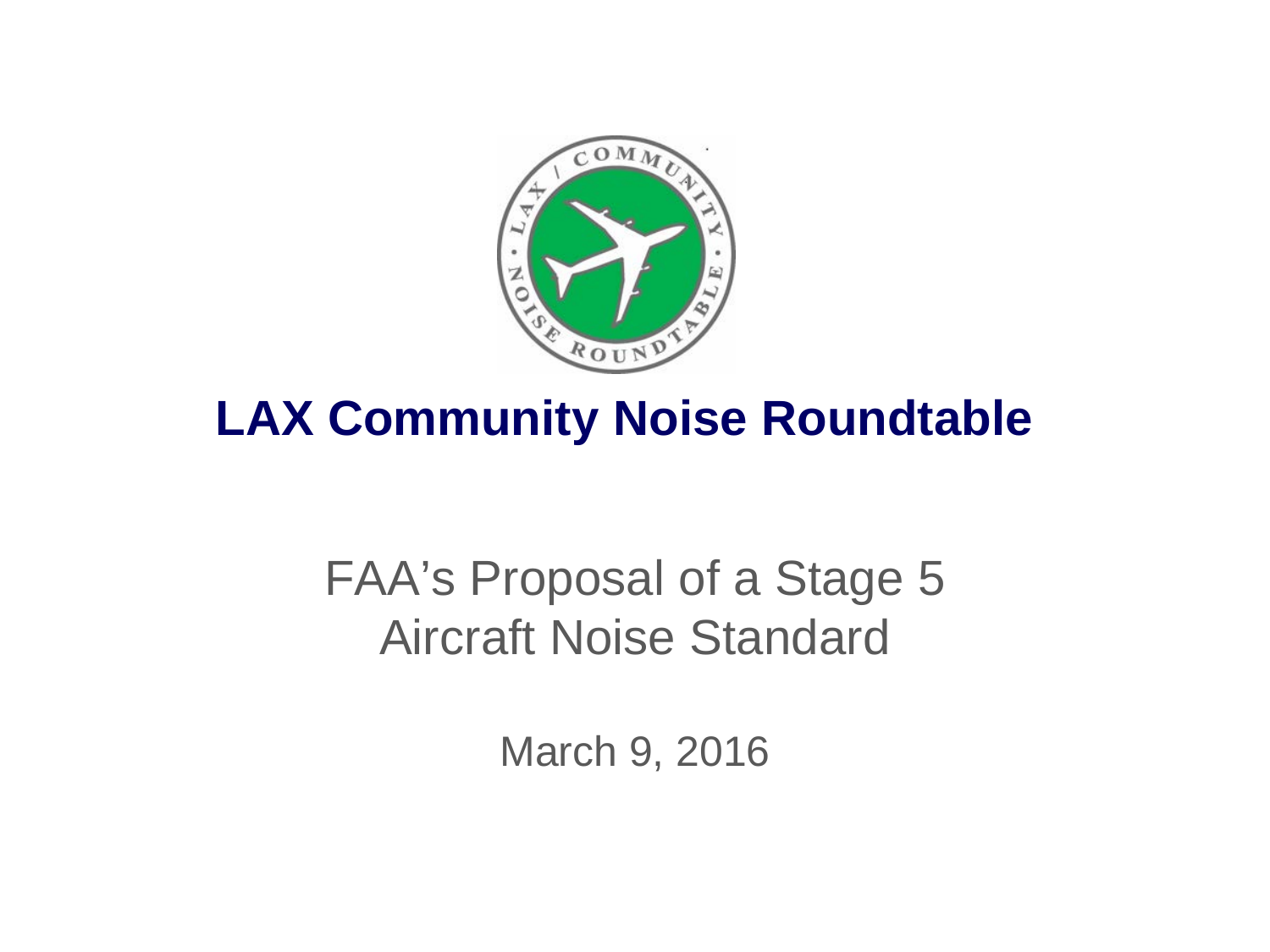

### **LAX Community Noise Roundtable**

### FAA's Proposal of a Stage 5 Aircraft Noise Standard

March 9, 2016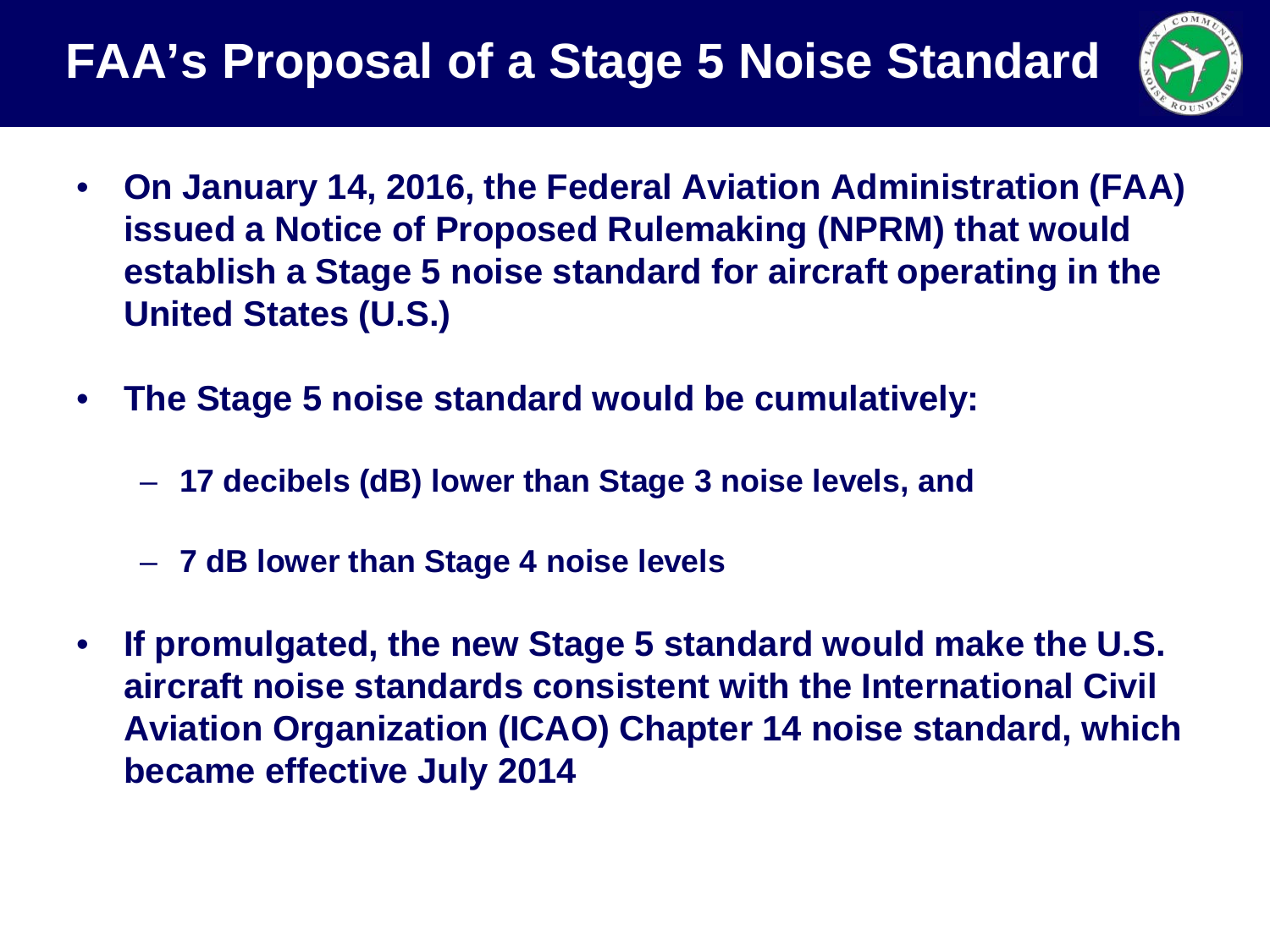

- **On January 14, 2016, the Federal Aviation Administration (FAA) issued a Notice of Proposed Rulemaking (NPRM) that would establish a Stage 5 noise standard for aircraft operating in the United States (U.S.)**
- **The Stage 5 noise standard would be cumulatively:**
	- **17 decibels (dB) lower than Stage 3 noise levels, and**
	- **7 dB lower than Stage 4 noise levels**
- **If promulgated, the new Stage 5 standard would make the U.S. aircraft noise standards consistent with the International Civil Aviation Organization (ICAO) Chapter 14 noise standard, which became effective July 2014**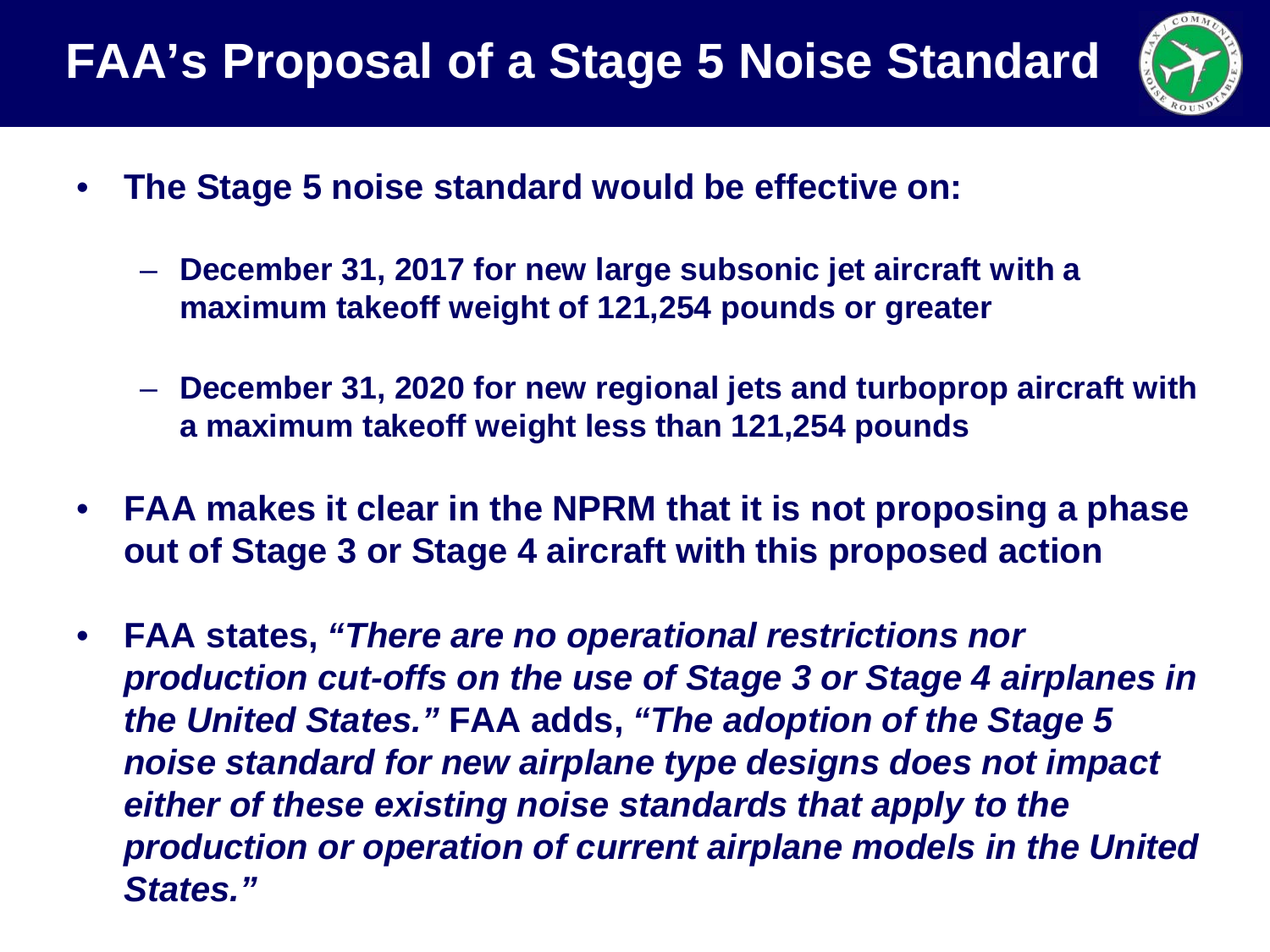

- **The Stage 5 noise standard would be effective on:**
	- **December 31, 2017 for new large subsonic jet aircraft with a maximum takeoff weight of 121,254 pounds or greater**
	- **December 31, 2020 for new regional jets and turboprop aircraft with a maximum takeoff weight less than 121,254 pounds**
- **FAA makes it clear in the NPRM that it is not proposing a phase out of Stage 3 or Stage 4 aircraft with this proposed action**
- **FAA states,** *"There are no operational restrictions nor production cut-offs on the use of Stage 3 or Stage 4 airplanes in the United States."* **FAA adds,** *"The adoption of the Stage 5 noise standard for new airplane type designs does not impact either of these existing noise standards that apply to the production or operation of current airplane models in the United States."*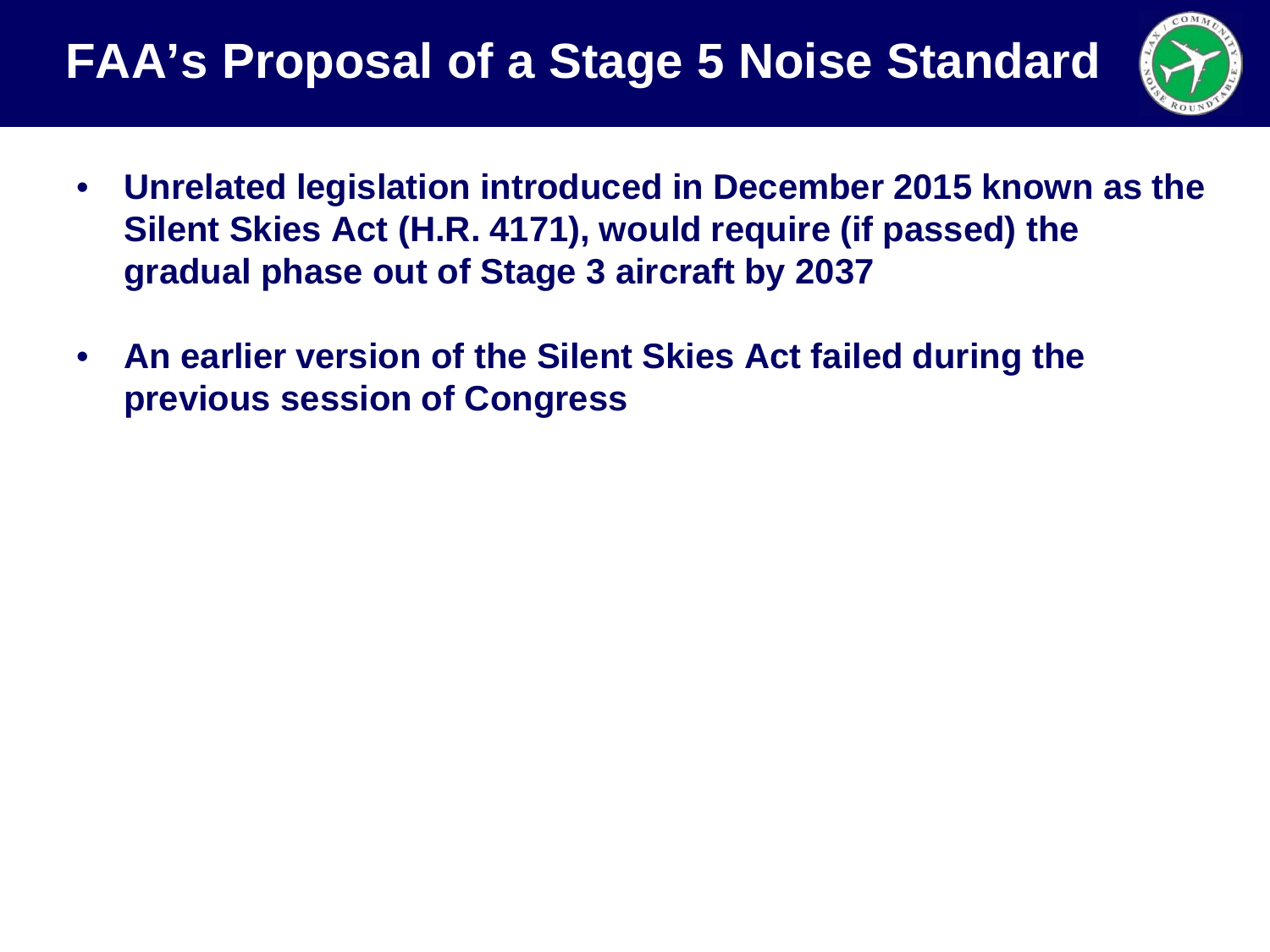

- **Unrelated legislation introduced in December 2015 known as the Silent Skies Act (H.R. 4171), would require (if passed) the gradual phase out of Stage 3 aircraft by 2037**
- **An earlier version of the Silent Skies Act failed during the previous session of Congress**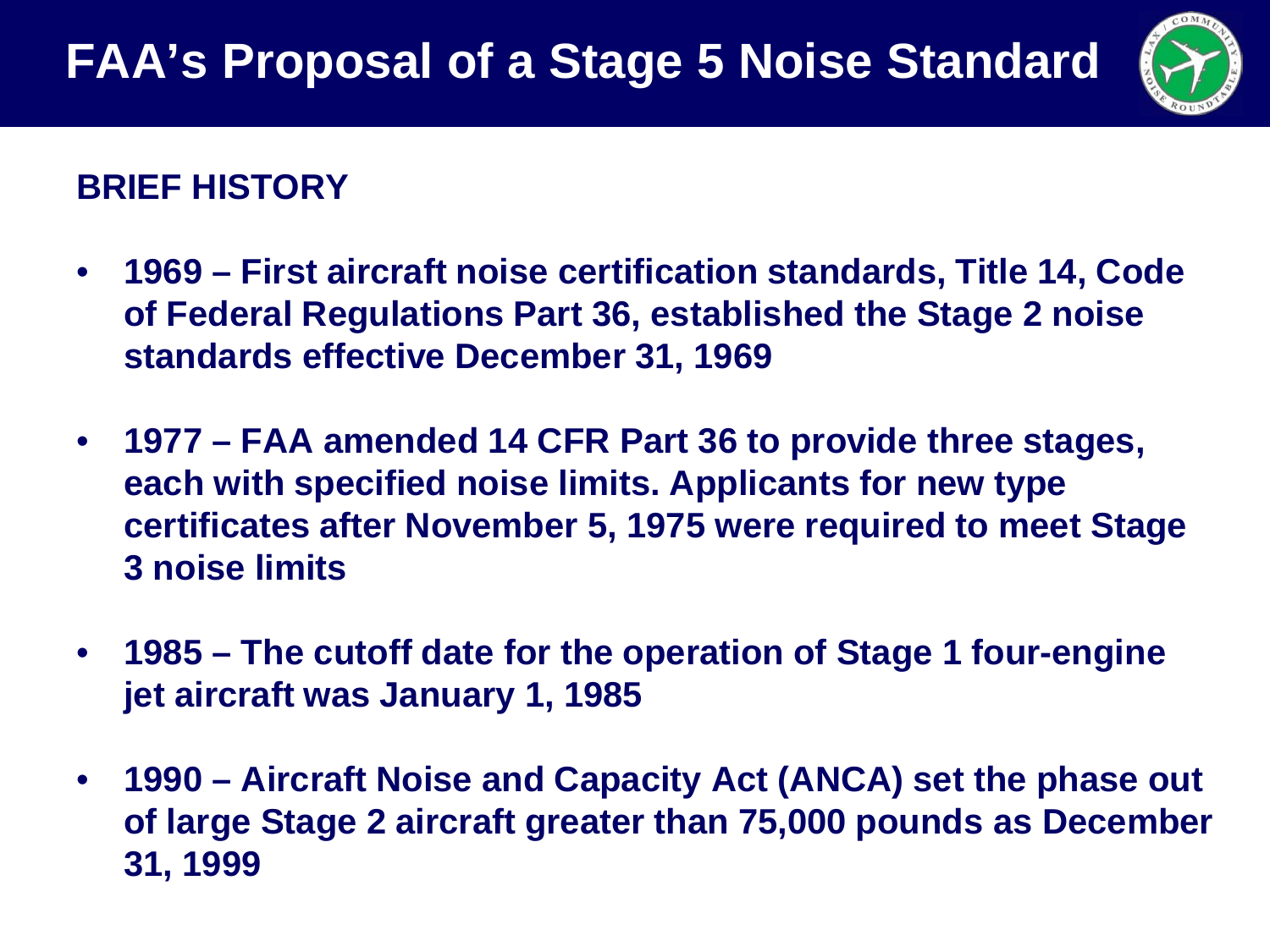

#### **BRIEF HISTORY**

- **1969 – First aircraft noise certification standards, Title 14, Code of Federal Regulations Part 36, established the Stage 2 noise standards effective December 31, 1969**
- **1977 – FAA amended 14 CFR Part 36 to provide three stages, each with specified noise limits. Applicants for new type certificates after November 5, 1975 were required to meet Stage 3 noise limits**
- **1985 – The cutoff date for the operation of Stage 1 four-engine jet aircraft was January 1, 1985**
- **1990 – Aircraft Noise and Capacity Act (ANCA) set the phase out of large Stage 2 aircraft greater than 75,000 pounds as December 31, 1999**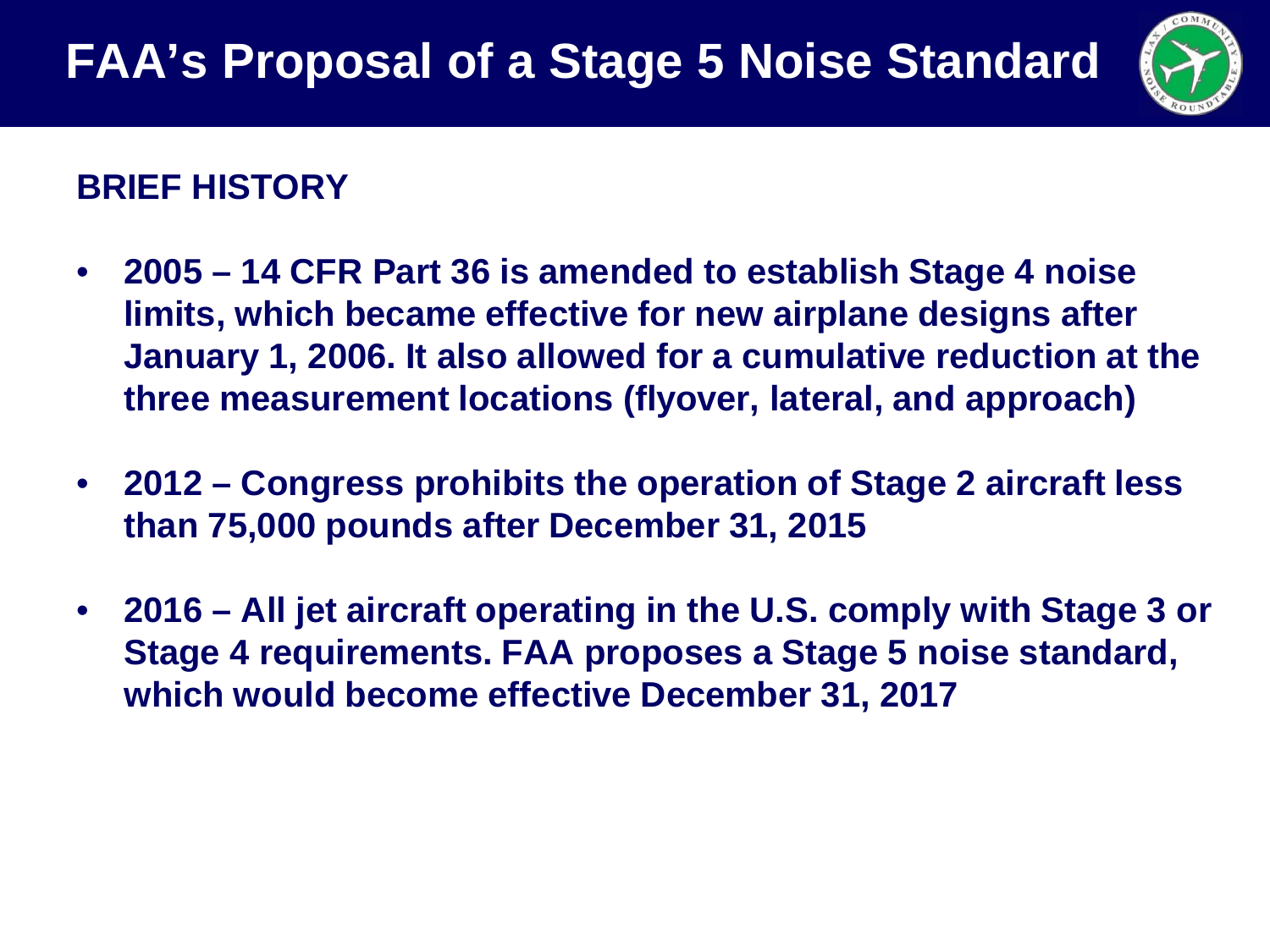

#### **BRIEF HISTORY**

- **2005 – 14 CFR Part 36 is amended to establish Stage 4 noise limits, which became effective for new airplane designs after January 1, 2006. It also allowed for a cumulative reduction at the three measurement locations (flyover, lateral, and approach)**
- **2012 – Congress prohibits the operation of Stage 2 aircraft less than 75,000 pounds after December 31, 2015**
- **2016 – All jet aircraft operating in the U.S. comply with Stage 3 or Stage 4 requirements. FAA proposes a Stage 5 noise standard, which would become effective December 31, 2017**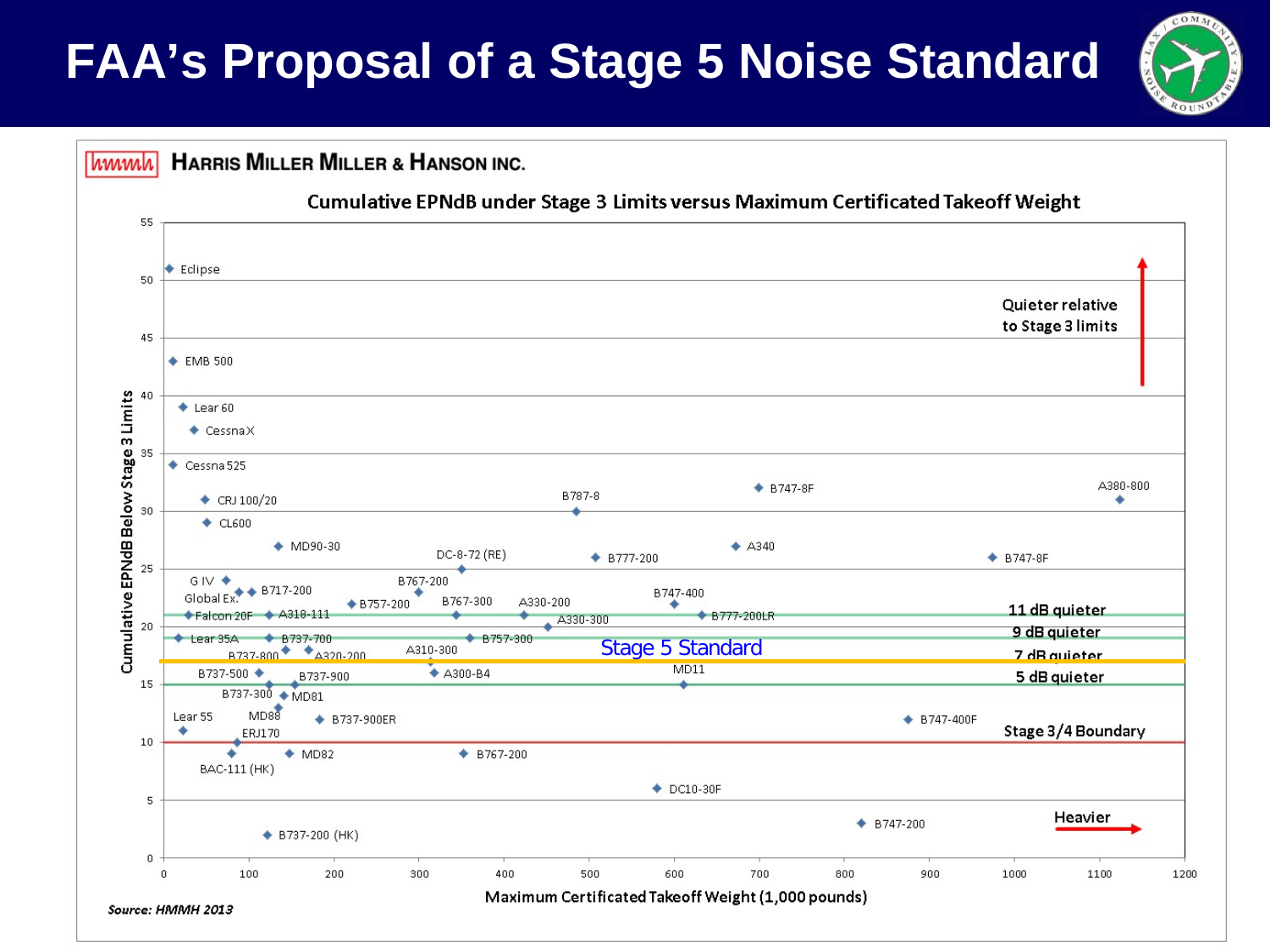

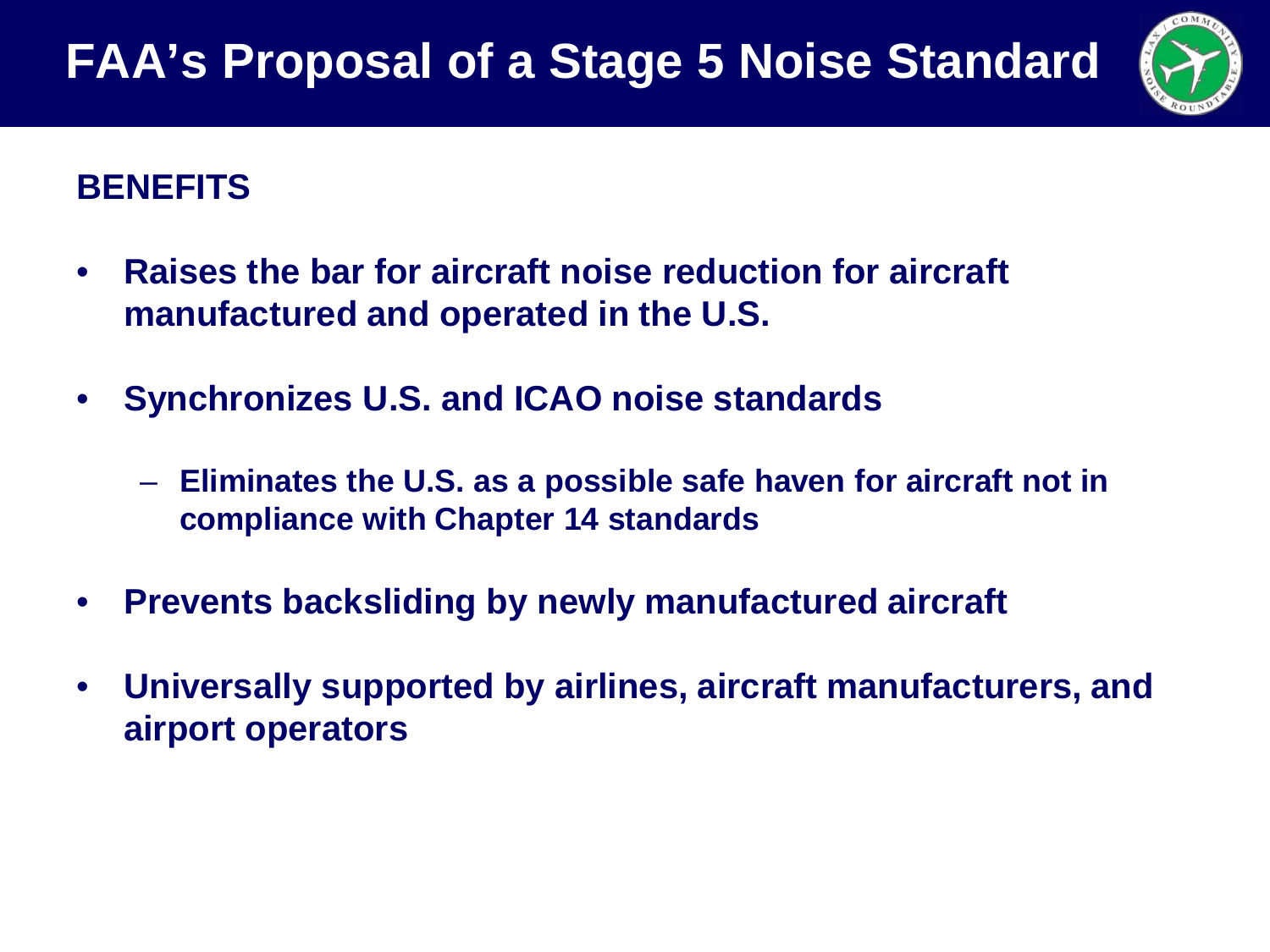

#### **BENEFITS**

- **Raises the bar for aircraft noise reduction for aircraft manufactured and operated in the U.S.**
- **Synchronizes U.S. and ICAO noise standards**
	- **Eliminates the U.S. as a possible safe haven for aircraft not in compliance with Chapter 14 standards**
- **Prevents backsliding by newly manufactured aircraft**
- **Universally supported by airlines, aircraft manufacturers, and airport operators**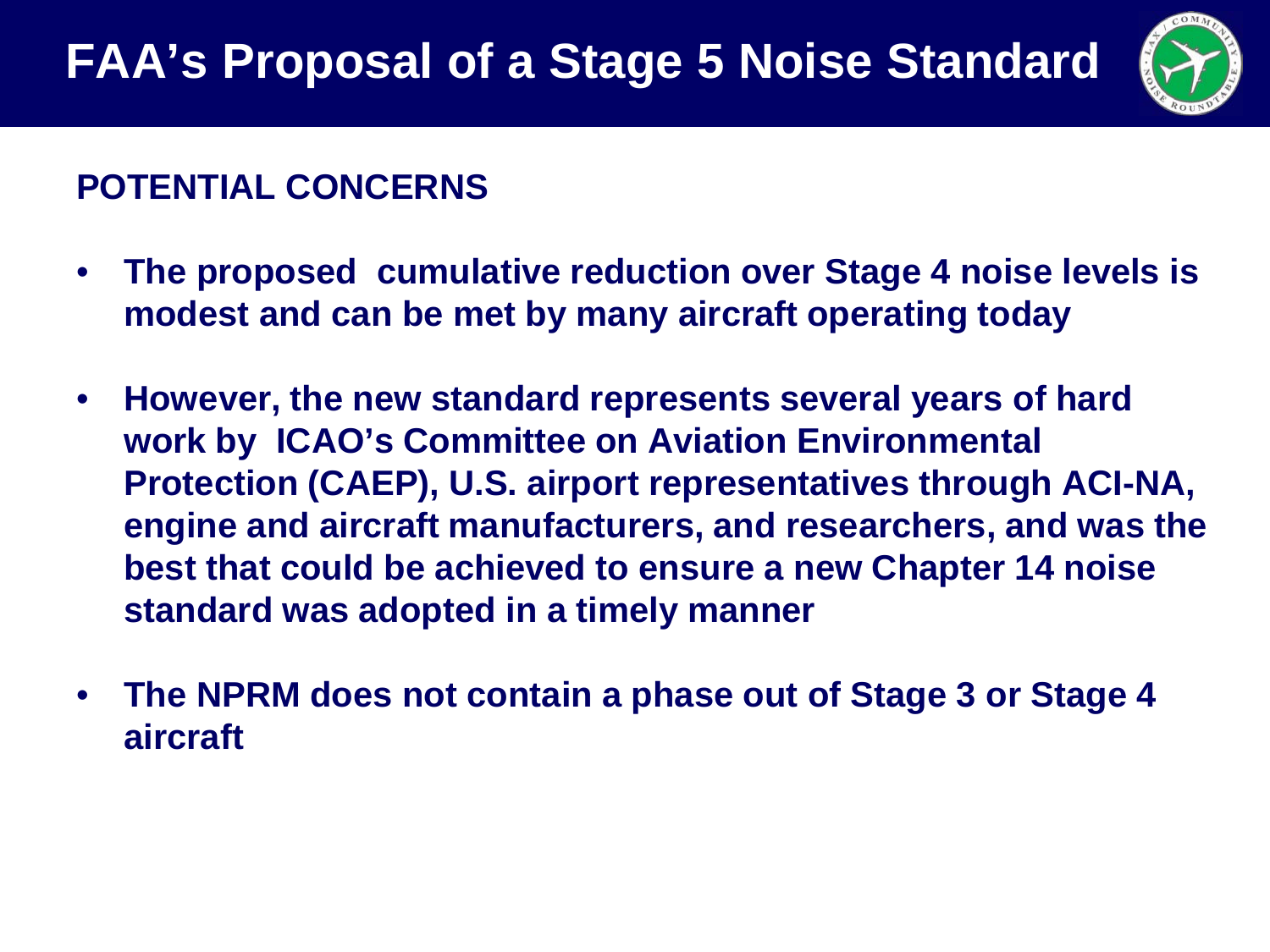

#### **POTENTIAL CONCERNS**

- **The proposed cumulative reduction over Stage 4 noise levels is modest and can be met by many aircraft operating today**
- **However, the new standard represents several years of hard work by ICAO's Committee on Aviation Environmental Protection (CAEP), U.S. airport representatives through ACI-NA, engine and aircraft manufacturers, and researchers, and was the best that could be achieved to ensure a new Chapter 14 noise standard was adopted in a timely manner**
- **The NPRM does not contain a phase out of Stage 3 or Stage 4 aircraft**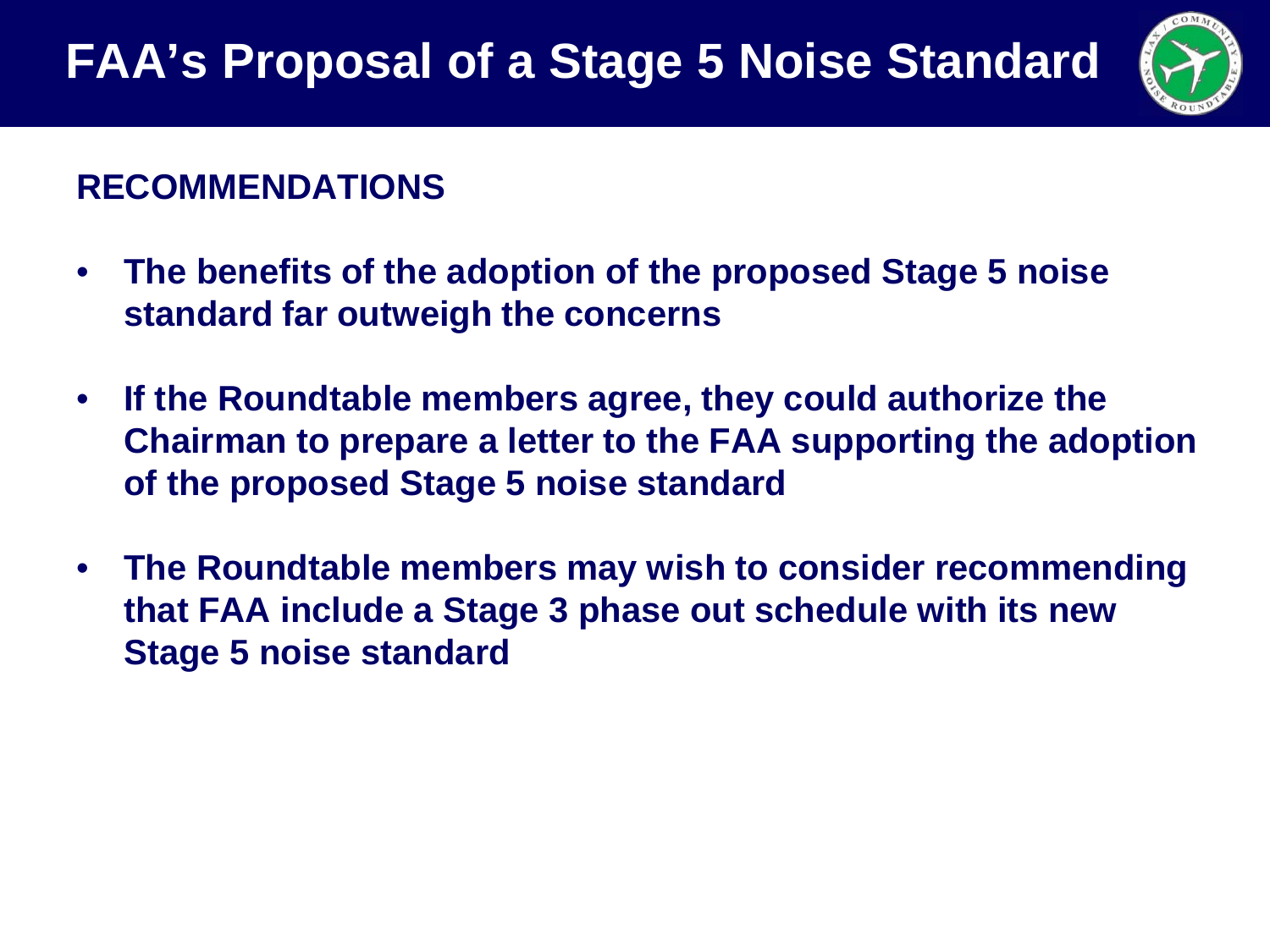

#### **RECOMMENDATIONS**

- **The benefits of the adoption of the proposed Stage 5 noise standard far outweigh the concerns**
- **If the Roundtable members agree, they could authorize the Chairman to prepare a letter to the FAA supporting the adoption of the proposed Stage 5 noise standard**
- **The Roundtable members may wish to consider recommending that FAA include a Stage 3 phase out schedule with its new Stage 5 noise standard**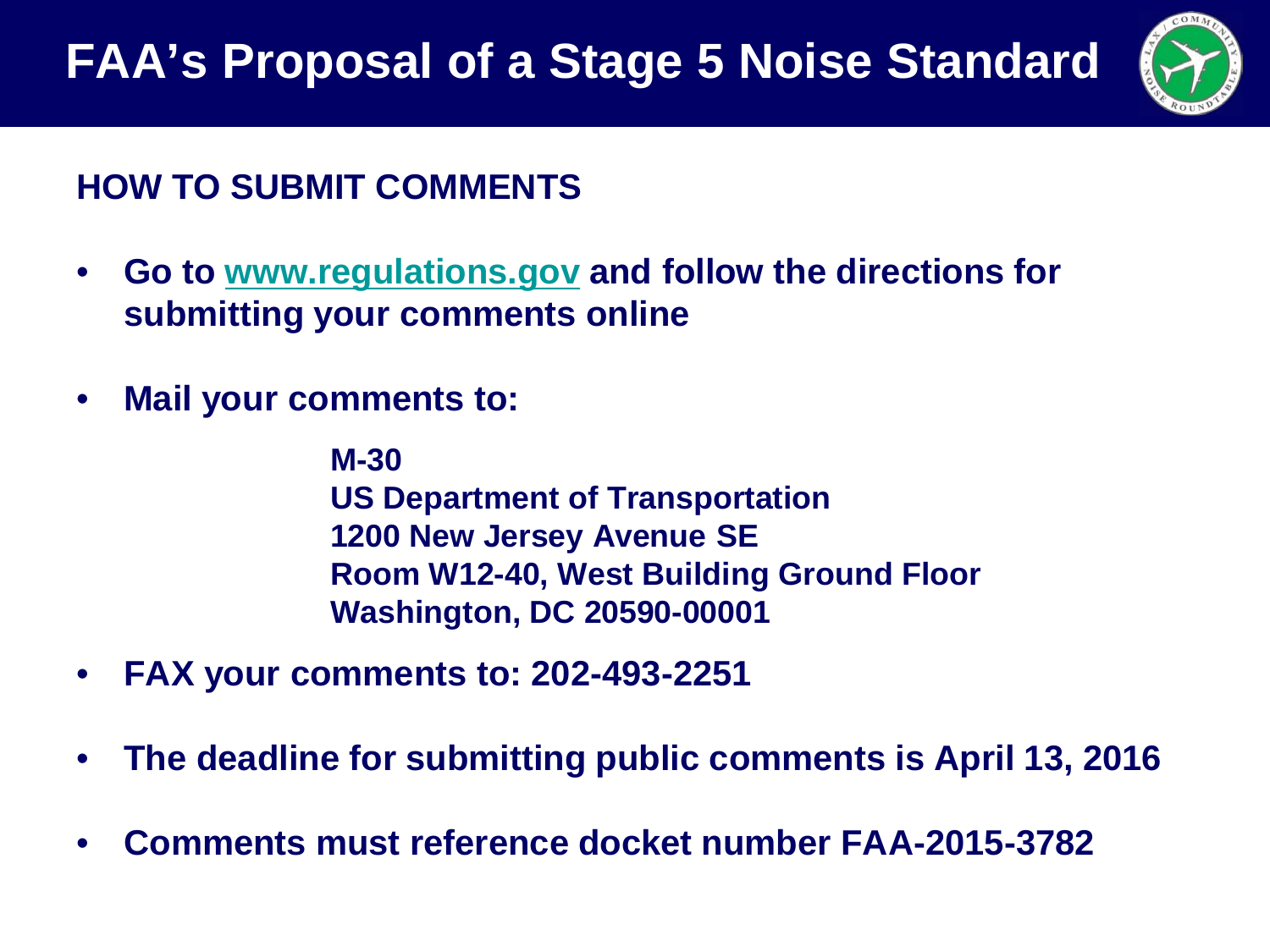

#### **HOW TO SUBMIT COMMENTS**

- **Go to [www.regulations.gov](http://www.regulations.gov/) and follow the directions for submitting your comments online**
- **Mail your comments to:**

**M-30 US Department of Transportation 1200 New Jersey Avenue SE Room W12-40, West Building Ground Floor Washington, DC 20590-00001**

- **FAX your comments to: 202-493-2251**
- **The deadline for submitting public comments is April 13, 2016**
- **Comments must reference docket number FAA-2015-3782**